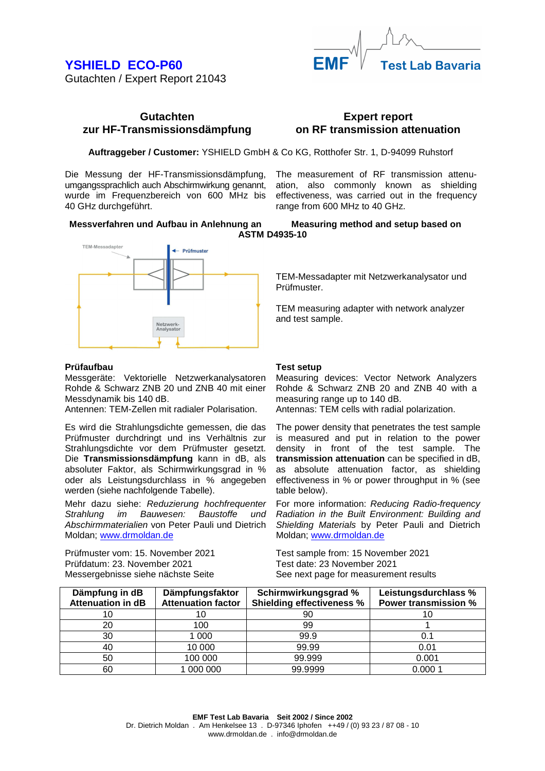## **YSHIELD ECO-P60**  Gutachten / Expert Report 21043





**Test Lab Bavaria** 

**Auftraggeber / Customer:** YSHIELD GmbH & Co KG, Rotthofer Str. 1, D-94099 Ruhstorf

Die Messung der HF-Transmissionsdämpfung, umgangssprachlich auch Abschirmwirkung genannt, wurde im Frequenzbereich von 600 MHz bis 40 GHz durchgeführt.

The measurement of RF transmission attenuation, also commonly known as shielding effectiveness, was carried out in the frequency range from 600 MHz to 40 GHz.

**Messverfahren und Aufbau in Anlehnung an Measuring method and setup based on ASTM D4935-10** 



#### **Prüfaufbau**

Messgeräte: Vektorielle Netzwerkanalysatoren Rohde & Schwarz ZNB 20 und ZNB 40 mit einer Messdynamik bis 140 dB.

Antennen: TEM-Zellen mit radialer Polarisation.

Es wird die Strahlungsdichte gemessen, die das Prüfmuster durchdringt und ins Verhältnis zur Strahlungsdichte vor dem Prüfmuster gesetzt. Die **Transmissionsdämpfung** kann in dB, als absoluter Faktor, als Schirmwirkungsgrad in % oder als Leistungsdurchlass in % angegeben werden (siehe nachfolgende Tabelle).

Mehr dazu siehe: Reduzierung hochfrequenter Strahlung im Bauwesen: Baustoffe und Abschirmmaterialien von Peter Pauli und Dietrich Moldan; www.drmoldan.de

Prüfmuster vom: 15. November 2021 Prüfdatum: 23. November 2021 Messergebnisse siehe nächste Seite

TEM-Messadapter mit Netzwerkanalysator und Prüfmuster.

TEM measuring adapter with network analyzer and test sample.

#### **Test setup**

Measuring devices: Vector Network Analyzers Rohde & Schwarz ZNB 20 and ZNB 40 with a measuring range up to 140 dB.

Antennas: TEM cells with radial polarization.

The power density that penetrates the test sample is measured and put in relation to the power density in front of the test sample. The **transmission attenuation** can be specified in dB, as absolute attenuation factor, as shielding effectiveness in % or power throughput in % (see table below).

For more information: Reducing Radio-frequency Radiation in the Built Environment: Building and Shielding Materials by Peter Pauli and Dietrich Moldan; www.drmoldan.de

Test sample from: 15 November 2021 Test date: 23 November 2021 See next page for measurement results

| Dämpfung in dB<br><b>Attenuation in dB</b> | Dämpfungsfaktor<br><b>Attenuation factor</b> | Schirmwirkungsgrad %<br><b>Shielding effectiveness %</b> | Leistungsdurchlass %<br><b>Power transmission %</b> |
|--------------------------------------------|----------------------------------------------|----------------------------------------------------------|-----------------------------------------------------|
| 10                                         |                                              | 90                                                       |                                                     |
| 20                                         | 100                                          | 99                                                       |                                                     |
| 30                                         | 1 000                                        | 99.9                                                     | 0.1                                                 |
| 40                                         | 10 000                                       | 99.99                                                    | 0.01                                                |
| 50                                         | 100 000                                      | 99.999                                                   | 0.001                                               |
| 60                                         | 1000000                                      | 99.9999                                                  | 0.0001                                              |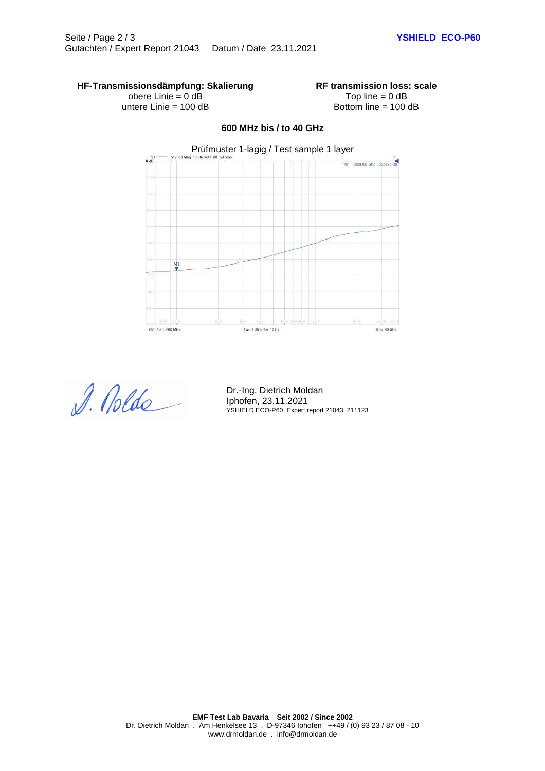### **HF-Transmissionsdämpfung: Skalierung**

obere Linie = 0 dB untere Linie = 100 dB **RF transmission loss: scale** Top line  $= 0$  dB Bottom line = 100 dB

# Prüfmuster 1-lagig / Test sample 1 layer  $frac{Trc1}{0}$ \$12 dB M .<br>M1 1.000000 GHz 66.8826 dB  $\frac{M1}{2}$ Ch1 Start 600 MHz Pwr 8 dBm Bw 10 Hz Stop 40 GHz

**600 MHz bis / to 40 GHz** 

D. Nolds

Dr.-Ing. Dietrich Moldan Iphofen, 23.11.2021 YSHIELD ECO-P60 Expert report 21043 211123